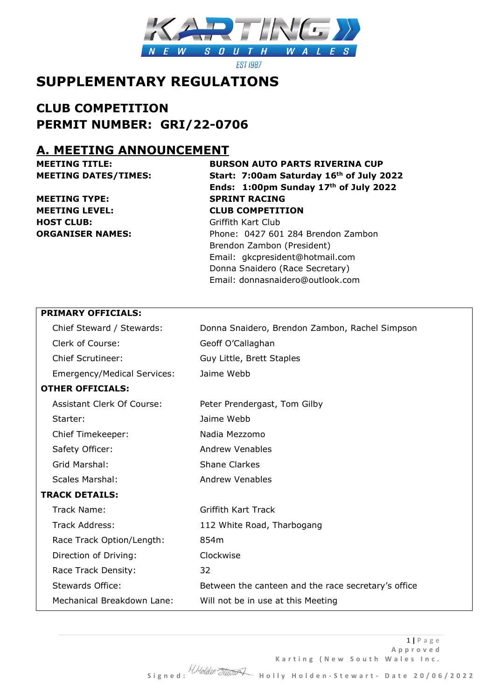

**EST 1987** 

# **SUPPLEMENTARY REGULATIONS**

**CLUB COMPETITION PERMIT NUMBER: GRI/22-0706**

# **A. MEETING ANNOUNCEMENT**

**MEETING TYPE: SPRINT RACING MEETING LEVEL: CLUB COMPETITION HOST CLUB:** Griffith Kart Club

# **MEETING TITLE: BURSON AUTO PARTS RIVERINA CUP MEETING DATES/TIMES: Start: 7:00am Saturday 16th of July 2022 Ends: 1:00pm Sunday 17th of July 2022**

**ORGANISER NAMES:** Phone: 0427 601 284 Brendon Zambon Brendon Zambon (President) Email: gkcpresident@hotmail.com Donna Snaidero (Race Secretary) Email: donnasnaidero@outlook.com

### **PRIMARY OFFICIALS:**

| Chief Steward / Stewards:          | Donna Snaidero, Brendon Zambon, Rachel Simpson      |
|------------------------------------|-----------------------------------------------------|
| Clerk of Course:                   | Geoff O'Callaghan                                   |
| <b>Chief Scrutineer:</b>           | Guy Little, Brett Staples                           |
| <b>Emergency/Medical Services:</b> | Jaime Webb                                          |
| <b>OTHER OFFICIALS:</b>            |                                                     |
| <b>Assistant Clerk Of Course:</b>  | Peter Prendergast, Tom Gilby                        |
| Starter:                           | Jaime Webb                                          |
| Chief Timekeeper:                  | Nadia Mezzomo                                       |
| Safety Officer:                    | <b>Andrew Venables</b>                              |
| Grid Marshal:                      | <b>Shane Clarkes</b>                                |
| <b>Scales Marshal:</b>             | <b>Andrew Venables</b>                              |
| <b>TRACK DETAILS:</b>              |                                                     |
| Track Name:                        | <b>Griffith Kart Track</b>                          |
| Track Address:                     | 112 White Road, Tharbogang                          |
| Race Track Option/Length:          | 854m                                                |
| Direction of Driving:              | Clockwise                                           |
| Race Track Density:                | 32                                                  |
| <b>Stewards Office:</b>            | Between the canteen and the race secretary's office |
| Mechanical Breakdown Lane:         | Will not be in use at this Meeting                  |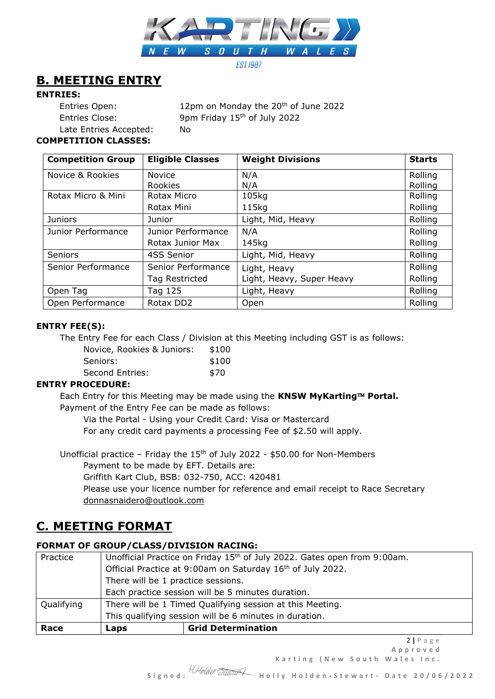

## **B. MEETING ENTRY**

### **ENTRIES:**

Entries Open: 12pm on Monday the 20<sup>th</sup> of June 2022 Entries Close: 9pm Friday 15th of July 2022 Late Entries Accepted: No

### **COMPETITION CLASSES:**

| <b>Competition Group</b> | <b>Eligible Classes</b> | <b>Weight Divisions</b>   | <b>Starts</b> |
|--------------------------|-------------------------|---------------------------|---------------|
| Novice & Rookies         | <b>Novice</b>           | N/A                       | Rolling       |
|                          | <b>Rookies</b>          | N/A                       | Rolling       |
| Rotax Micro & Mini       | Rotax Micro             | 105kg                     | Rolling       |
|                          | Rotax Mini              | 115kg                     | Rolling       |
| <b>Juniors</b>           | Junior                  | Light, Mid, Heavy         | Rolling       |
| Junior Performance       | Junior Performance      | N/A                       | Rolling       |
|                          | Rotax Junior Max        | 145kg                     | Rolling       |
| Seniors                  | 4SS Senior              | Light, Mid, Heavy         | Rolling       |
| Senior Performance       | Senior Performance      | Light, Heavy              | Rolling       |
|                          | Tag Restricted          | Light, Heavy, Super Heavy | Rolling       |
| Open Tag                 | Tag 125                 | Light, Heavy              | Rolling       |
| Open Performance         | Rotax DD2               | Open                      | Rolling       |

### **ENTRY FEE(S):**

The Entry Fee for each Class / Division at this Meeting including GST is as follows:

| Novice, Rookies & Juniors: | \$100 |
|----------------------------|-------|
| Seniors:                   | \$100 |
| Second Entries:            | \$70  |

### **ENTRY PROCEDURE:**

Each Entry for this Meeting may be made using the **KNSW MyKarting™ Portal.** Payment of the Entry Fee can be made as follows:

Via the Portal - Using your Credit Card: Visa or Mastercard

For any credit card payments a processing Fee of \$2.50 will apply.

Unofficial practice – Friday the  $15<sup>th</sup>$  of July 2022 - \$50.00 for Non-Members

Payment to be made by EFT. Details are:

Griffith Kart Club, BSB: 032-750, ACC: 420481

Please use your licence number for reference and email receipt to Race Secretary donnasnaidero@outlook.com

## **C. MEETING FORMAT**

### **FORMAT OF GROUP/CLASS/DIVISION RACING:**

| Race       | Laps                                                                                 | <b>Grid Determination</b> |
|------------|--------------------------------------------------------------------------------------|---------------------------|
|            | This qualifying session will be 6 minutes in duration.                               |                           |
| Qualifying | There will be 1 Timed Qualifying session at this Meeting.                            |                           |
|            | Each practice session will be 5 minutes duration.                                    |                           |
|            | There will be 1 practice sessions.                                                   |                           |
|            | Official Practice at 9:00am on Saturday 16 <sup>th</sup> of July 2022.               |                           |
| Practice   | Unofficial Practice on Friday 15 <sup>th</sup> of July 2022. Gates open from 9:00am. |                           |

Karting (New South Wales Inc.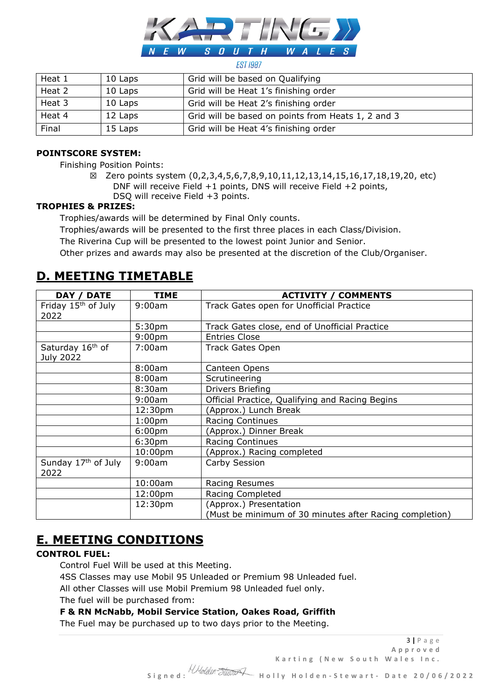

#### **EST 1987**

| Heat 1 | 10 Laps | Grid will be based on Qualifying                   |
|--------|---------|----------------------------------------------------|
|        |         |                                                    |
| Heat 2 | 10 Laps | Grid will be Heat 1's finishing order              |
| Heat 3 | 10 Laps | Grid will be Heat 2's finishing order              |
| Heat 4 | 12 Laps | Grid will be based on points from Heats 1, 2 and 3 |
| Final  | 15 Laps | Grid will be Heat 4's finishing order              |

#### **POINTSCORE SYSTEM:**

Finishing Position Points:

☒ Zero points system (0,2,3,4,5,6,7,8,9,10,11,12,13,14,15,16,17,18,19,20, etc) DNF will receive Field +1 points, DNS will receive Field +2 points, DSQ will receive Field +3 points.

#### **TROPHIES & PRIZES:**

Trophies/awards will be determined by Final Only counts.

Trophies/awards will be presented to the first three places in each Class/Division.

The Riverina Cup will be presented to the lowest point Junior and Senior.

Other prizes and awards may also be presented at the discretion of the Club/Organiser.

# **D. MEETING TIMETABLE**

| <b>DATE</b><br>DAY /                      | <b>TIME</b>        | <b>ACTIVITY / COMMENTS</b>                              |
|-------------------------------------------|--------------------|---------------------------------------------------------|
| Friday 15 <sup>th</sup> of July<br>2022   | 9:00am             | Track Gates open for Unofficial Practice                |
|                                           | 5:30 <sub>pm</sub> | Track Gates close, end of Unofficial Practice           |
|                                           | 9:00 <sub>pm</sub> | <b>Entries Close</b>                                    |
| Saturday 16 <sup>th</sup> of<br>July 2022 | 7:00am             | <b>Track Gates Open</b>                                 |
|                                           | 8:00am             | Canteen Opens                                           |
|                                           | 8:00am             | Scrutineering                                           |
|                                           | 8:30am             | <b>Drivers Briefing</b>                                 |
|                                           | 9:00am             | Official Practice, Qualifying and Racing Begins         |
|                                           | 12:30pm            | (Approx.) Lunch Break                                   |
|                                           | 1:00 <sub>pm</sub> | <b>Racing Continues</b>                                 |
|                                           | 6:00 <sub>pm</sub> | (Approx.) Dinner Break                                  |
|                                           | 6:30 <sub>pm</sub> | <b>Racing Continues</b>                                 |
|                                           | 10:00pm            | (Approx.) Racing completed                              |
| Sunday 17 <sup>th</sup> of July<br>2022   | 9:00am             | Carby Session                                           |
|                                           | 10:00am            | Racing Resumes                                          |
|                                           | 12:00pm            | Racing Completed                                        |
|                                           | 12:30pm            | (Approx.) Presentation                                  |
|                                           |                    | (Must be minimum of 30 minutes after Racing completion) |

### **E. MEETING CONDITIONS**

### **CONTROL FUEL:**

Control Fuel Will be used at this Meeting.

4SS Classes may use Mobil 95 Unleaded or Premium 98 Unleaded fuel.

All other Classes will use Mobil Premium 98 Unleaded fuel only.

The fuel will be purchased from:

### **F & RN McNabb, Mobil Service Station, Oakes Road, Griffith**

The Fuel may be purchased up to two days prior to the Meeting.

3 **|** P a g e **A p p r o v e d** Karting (New South Wales Inc.